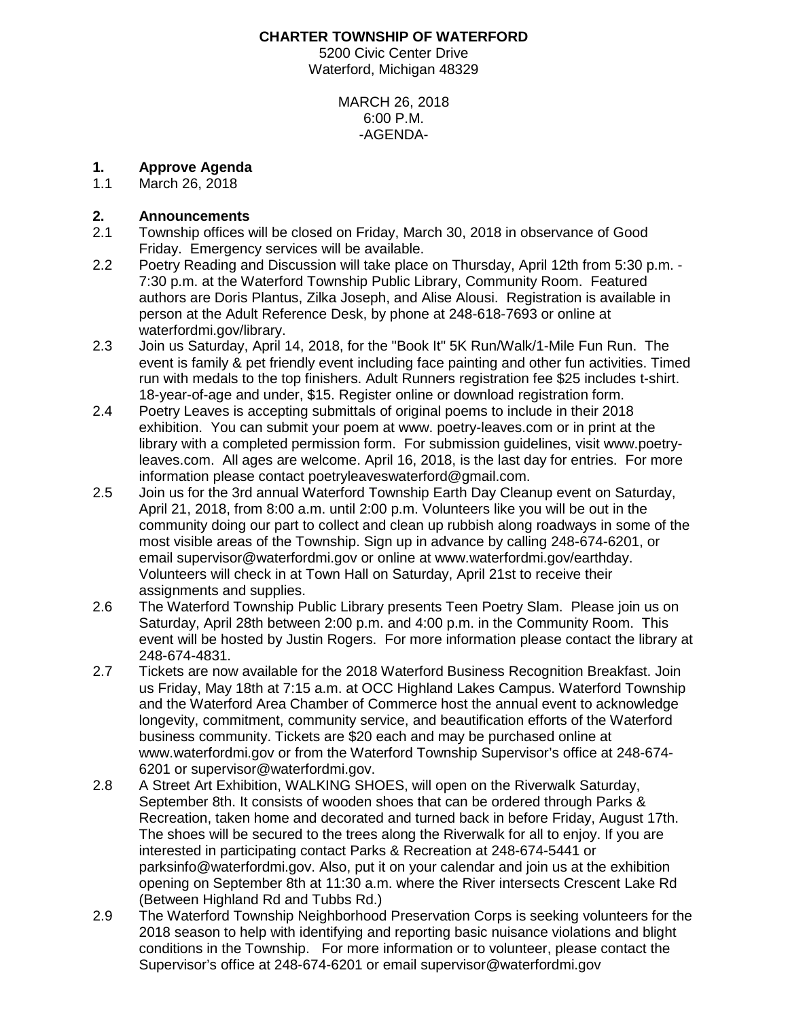#### **CHARTER TOWNSHIP OF WATERFORD**

5200 Civic Center Drive Waterford, Michigan 48329

> MARCH 26, 2018 6:00 P.M. -AGENDA-

# **1. Approve Agenda**

March 26, 2018

### **2. Announcements**

- 2.1 Township offices will be closed on Friday, March 30, 2018 in observance of Good Friday. Emergency services will be available.
- 2.2 Poetry Reading and Discussion will take place on Thursday, April 12th from 5:30 p.m. 7:30 p.m. at the Waterford Township Public Library, Community Room. Featured authors are Doris Plantus, Zilka Joseph, and Alise Alousi. Registration is available in person at the Adult Reference Desk, by phone at 248-618-7693 or online at waterfordmi.gov/library.
- 2.3 Join us Saturday, April 14, 2018, for the "Book It" 5K Run/Walk/1-Mile Fun Run. The event is family & pet friendly event including face painting and other fun activities. Timed run with medals to the top finishers. Adult Runners registration fee \$25 includes t-shirt. 18-year-of-age and under, \$15. Register [online](https://app.regwiz.io/register/bookit/317) or download [registration form.](https://www.waterfordmi.gov/DocumentCenter/View/5417)
- 2.4 Poetry Leaves is accepting submittals of original poems to include in their 2018 exhibition. You can submit your poem at www. poetry-leaves.com or in print at the library with a completed permission form. For submission guidelines, visit www.poetryleaves.com. All ages are welcome. April 16, 2018, is the last day for entries. For more information please contact [poetryleaveswaterford@gmail.com.](mailto:poetryleaveswaterford@gmail.com)
- 2.5 Join us for the 3rd annual Waterford Township Earth Day Cleanup event on Saturday, April 21, 2018, from 8:00 a.m. until 2:00 p.m. Volunteers like you will be out in the community doing our part to collect and clean up rubbish along roadways in some of the most visible areas of the Township. Sign up in advance by calling 248-674-6201, or email supervisor@waterfordmi.gov or online at www.waterfordmi.gov/earthday. Volunteers will check in at Town Hall on Saturday, April 21st to receive their assignments and supplies.
- 2.6 The Waterford Township Public Library presents Teen Poetry Slam. Please join us on Saturday, April 28th between 2:00 p.m. and 4:00 p.m. in the Community Room. This event will be hosted by Justin Rogers. For more information please contact the library at 248-674-4831.
- 2.7 Tickets are now available for the 2018 Waterford Business Recognition Breakfast. Join us Friday, May 18th at 7:15 a.m. at OCC Highland Lakes Campus. Waterford Township and the Waterford Area Chamber of Commerce host the annual event to acknowledge longevity, commitment, community service, and beautification efforts of the Waterford business community. Tickets are \$20 each and may be purchased online at www.waterfordmi.gov or from the Waterford Township Supervisor's office at 248-674- 6201 or supervisor@waterfordmi.gov.
- 2.8 A Street Art Exhibition, WALKING SHOES, will open on the Riverwalk Saturday, September 8th. It consists of wooden shoes that can be ordered through Parks & Recreation, taken home and decorated and turned back in before Friday, August 17th. The shoes will be secured to the trees along the Riverwalk for all to enjoy. If you are interested in participating contact Parks & Recreation at 248-674-5441 or parksinfo@waterfordmi.gov. Also, put it on your calendar and join us at the exhibition opening on September 8th at 11:30 a.m. where the River intersects Crescent Lake Rd (Between Highland Rd and Tubbs Rd.)
- 2.9 The Waterford Township Neighborhood Preservation Corps is seeking volunteers for the 2018 season to help with identifying and reporting basic nuisance violations and blight conditions in the Township. For more information or to volunteer, please contact the Supervisor's office at 248-674-6201 or email supervisor@waterfordmi.gov